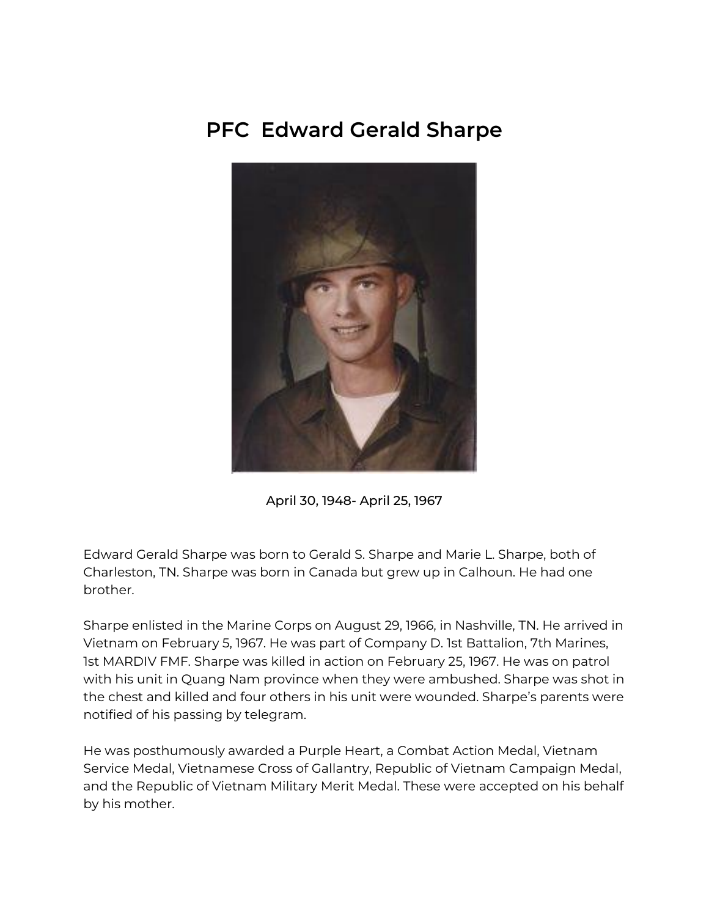## **PFC Edward Gerald Sharpe**



April 30, 1948- April 25, 1967

Edward Gerald Sharpe was born to Gerald S. Sharpe and Marie L. Sharpe, both of Charleston, TN. Sharpe was born in Canada but grew up in Calhoun. He had one brother.

Sharpe enlisted in the Marine Corps on August 29, 1966, in Nashville, TN. He arrived in Vietnam on February 5, 1967. He was part of Company D. 1st Battalion, 7th Marines, 1st MARDIV FMF. Sharpe was killed in action on February 25, 1967. He was on patrol with his unit in Quang Nam province when they were ambushed. Sharpe was shot in the chest and killed and four others in his unit were wounded. Sharpe's parents were notified of his passing by telegram.

He was posthumously awarded a Purple Heart, a Combat Action Medal, Vietnam Service Medal, Vietnamese Cross of Gallantry, Republic of Vietnam Campaign Medal, and the Republic of Vietnam Military Merit Medal. These were accepted on his behalf by his mother.